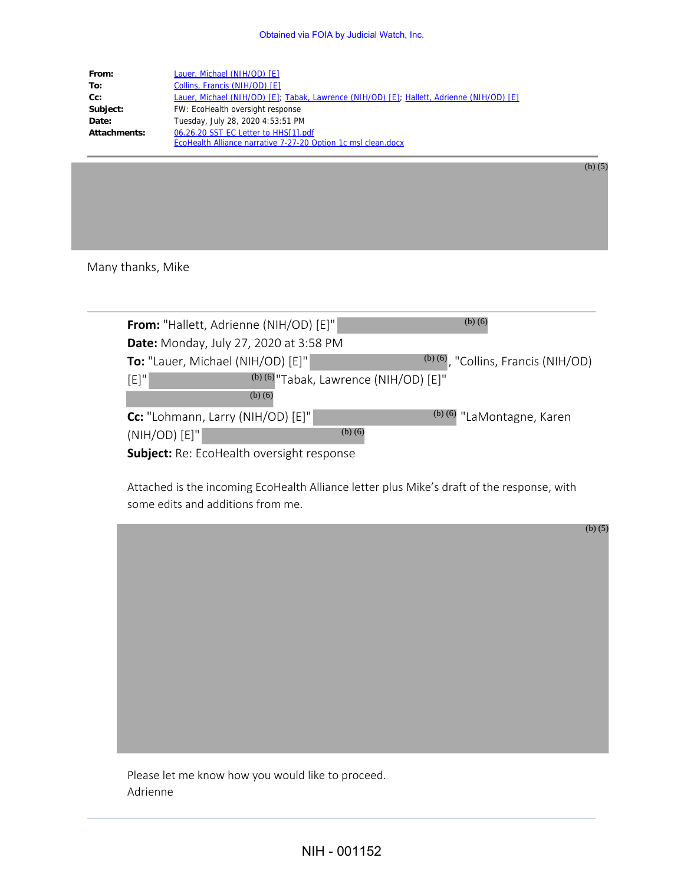| From:        | Lauer, Michael (NIH/OD) [E]                                                               |  |
|--------------|-------------------------------------------------------------------------------------------|--|
| To:          | Collins, Francis (NIH/OD) [E]                                                             |  |
| $Cc$ :       | Lauer, Michael (NIH/OD) [E]; Tabak, Lawrence (NIH/OD) [E]; Hallett, Adrienne (NIH/OD) [E] |  |
| Subject:     | FW: EcoHealth oversight response                                                          |  |
| Date:        | Tuesday, July 28, 2020 4:53:51 PM                                                         |  |
| Attachments: | 06.26.20 SST EC Letter to HHS[1].pdf                                                      |  |
|              | EcoHealth Alliance narrative 7-27-20 Option 1c msl clean.docx                             |  |

(b) (5)

(b) (5)

## Many thanks, Mike

| From: "Hallett, Adrienne (NIH/OD) [E]"           |                                          | $(b)$ $(6)$                           |  |  |
|--------------------------------------------------|------------------------------------------|---------------------------------------|--|--|
| <b>Date:</b> Monday, July 27, 2020 at 3:58 PM    |                                          |                                       |  |  |
| To: "Lauer, Michael (NIH/OD) [E]"                |                                          | $(b)$ (6), "Collins, Francis (NIH/OD) |  |  |
| $[E]$ "                                          | $(b)$ (6) "Tabak, Lawrence (NIH/OD) [E]" |                                       |  |  |
| $(b)$ (6)                                        |                                          |                                       |  |  |
| Cc: "Lohmann, Larry (NIH/OD) [E]"                |                                          | (b) (6) "LaMontagne, Karen            |  |  |
| $(NIH/OD)$ $[E]$ "                               | $(b)$ $(6)$                              |                                       |  |  |
| <b>Subject:</b> Re: EcoHealth oversight response |                                          |                                       |  |  |

Attached is the incoming EcoHealth Alliance letter plus Mike's draft of the response, with some edits and additions from me.

Please let me know how you would like to proceed.

Adrienne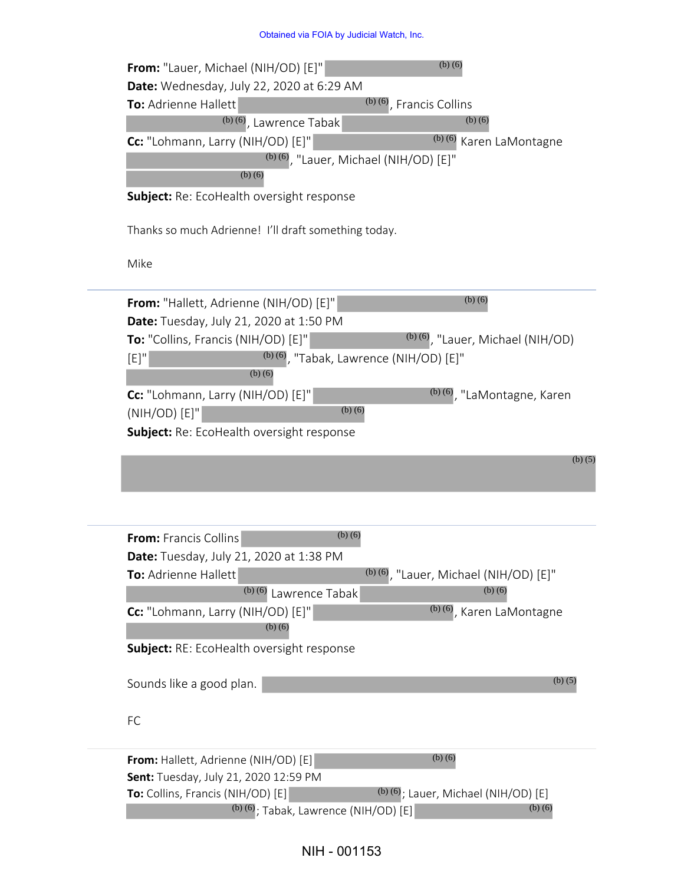## Obtained via FOIA by Judicial Watch, Inc.

| $(b)$ $(6)$<br>From: "Lauer, Michael (NIH/OD) [E]"                                                   |
|------------------------------------------------------------------------------------------------------|
| <b>Date:</b> Wednesday, July 22, 2020 at 6:29 AM                                                     |
| $(b)$ (6), Francis Collins<br>To: Adrienne Hallett                                                   |
| $(b)$ $(6)$<br>$(b)$ (6), Lawrence Tabak<br>$(b)$ $(6)$                                              |
| Cc: "Lohmann, Larry (NIH/OD) [E]"<br>Karen LaMontagne<br>$^{(b)(6)}$ , "Lauer, Michael (NIH/OD) [E]" |
| $(b)$ $(6)$                                                                                          |
| Subject: Re: EcoHealth oversight response                                                            |
| Thanks so much Adrienne! I'll draft something today.                                                 |
| Mike                                                                                                 |
| $(b)$ $(6)$<br>From: "Hallett, Adrienne (NIH/OD) [E]"                                                |
| <b>Date:</b> Tuesday, July 21, 2020 at 1:50 PM                                                       |
| $(b)$ (6), "Lauer, Michael (NIH/OD)<br>To: "Collins, Francis (NIH/OD) [E]"                           |
| $^{(b)(6)}$ , "Tabak, Lawrence (NIH/OD) [E]"<br>$[E]$ "<br>$(b)$ $(6)$                               |
| Cc: "Lohmann, Larry (NIH/OD) [E]"<br><sup>(b) (6)</sup> , "LaMontagne, Karen                         |
| $(b)$ $(6)$<br>(NIH/OD) [E]"                                                                         |
| Subject: Re: EcoHealth oversight response                                                            |
| (b) $(5)$                                                                                            |
|                                                                                                      |
|                                                                                                      |
| $(b)$ (6)<br>From: Francis Collins                                                                   |
| Date: Tuesday, July 21, 2020 at 1:38 PM                                                              |
| $^{(b)(6)}$ , "Lauer, Michael (NIH/OD) [E]"<br>To: Adrienne Hallett                                  |
| $(b)$ (6) Lawrence Tabak<br>$(b)$ (6)                                                                |
| <sup>(b) (6)</sup> , Karen LaMontagne<br>Cc: "Lohmann, Larry (NIH/OD) [E]"<br>$(b)$ $(6)$            |
| Subject: RE: EcoHealth oversight response                                                            |
|                                                                                                      |
| (b) $(5)$<br>Sounds like a good plan.                                                                |
|                                                                                                      |
| FC                                                                                                   |
| $(b)$ $(6)$<br>From: Hallett, Adrienne (NIH/OD) [E]                                                  |
| Sent: Tuesday, July 21, 2020 12:59 PM                                                                |
| $(b)$ (6); Lauer, Michael (NIH/OD) [E]<br>To: Collins, Francis (NIH/OD) [E]                          |
| $(b)$ (6); Tabak, Lawrence (NIH/OD) [E]<br>$(b)$ $(6)$                                               |

## NIH - 001153